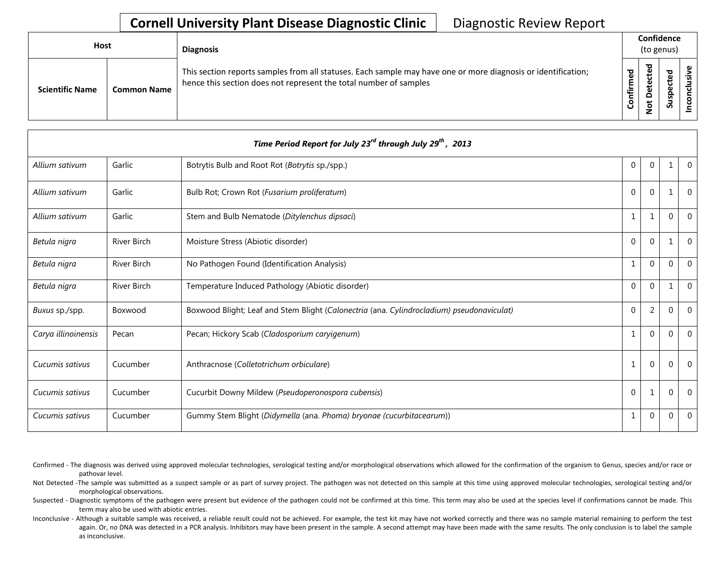## **Cornell University Plant Disease Diagnostic Clinic** | Diagnostic Review Report

| <b>Host</b>            |                    | <b>Diagnosis</b>                                                                                                                                                                   |                 | Confidence<br>(to genus) |        |          |
|------------------------|--------------------|------------------------------------------------------------------------------------------------------------------------------------------------------------------------------------|-----------------|--------------------------|--------|----------|
| <b>Scientific Name</b> | <b>Common Name</b> | This section reports samples from all statuses. Each sample may have one or more diagnosis or identification;<br>hence this section does not represent the total number of samples | ठ<br>ε<br>onfir | ਠ<br>ت<br>ى<br><u>۽</u>  | ъ<br>S | <b>S</b> |

| Time Period Report for July 23 <sup>rd</sup> through July 29 <sup>th</sup> , 2013 |                    |                                                                                           |                |          |                |          |  |  |  |
|-----------------------------------------------------------------------------------|--------------------|-------------------------------------------------------------------------------------------|----------------|----------|----------------|----------|--|--|--|
| Allium sativum                                                                    | Garlic             | Botrytis Bulb and Root Rot (Botrytis sp./spp.)                                            | $\Omega$       | $\Omega$ |                | $\Omega$ |  |  |  |
| Allium sativum                                                                    | Garlic             | Bulb Rot; Crown Rot (Fusarium proliferatum)                                               | $\Omega$       | $\Omega$ | 1              | $\Omega$ |  |  |  |
| Allium sativum                                                                    | Garlic             | Stem and Bulb Nematode (Ditylenchus dipsaci)                                              | 1              | 1        | $\overline{0}$ | $\Omega$ |  |  |  |
| Betula nigra                                                                      | <b>River Birch</b> | Moisture Stress (Abiotic disorder)                                                        | 0              | $\Omega$ |                | $\Omega$ |  |  |  |
| Betula nigra                                                                      | River Birch        | No Pathogen Found (Identification Analysis)                                               | 1              | $\Omega$ | $\overline{0}$ | $\Omega$ |  |  |  |
| Betula nigra                                                                      | <b>River Birch</b> | Temperature Induced Pathology (Abiotic disorder)                                          | $\Omega$       | $\Omega$ |                | $\Omega$ |  |  |  |
| Buxus sp./spp.                                                                    | Boxwood            | Boxwood Blight; Leaf and Stem Blight (Calonectria (ana. Cylindrocladium) pseudonaviculat) | $\Omega$       | 2        | $\mathbf 0$    | $\Omega$ |  |  |  |
| Carya illinoinensis                                                               | Pecan              | Pecan; Hickory Scab (Cladosporium caryigenum)                                             | 1              | $\theta$ | $\Omega$       | $\Omega$ |  |  |  |
| Cucumis sativus                                                                   | Cucumber           | Anthracnose (Colletotrichum orbiculare)                                                   | $\overline{1}$ | $\Omega$ | $\Omega$       | $\Omega$ |  |  |  |
| Cucumis sativus                                                                   | Cucumber           | Cucurbit Downy Mildew (Pseudoperonospora cubensis)                                        | $\Omega$       |          | $\mathbf 0$    | $\Omega$ |  |  |  |
| Cucumis sativus                                                                   | Cucumber           | Gummy Stem Blight (Didymella (ana. Phoma) bryonae (cucurbitacearum))                      | 1              | $\Omega$ | 0              | $\Omega$ |  |  |  |

Confirmed - The diagnosis was derived using approved molecular technologies, serological testing and/or morphological observations which allowed for the confirmation of the organism to Genus, species and/or race or pathovar level.

Not Detected -The sample was submitted as a suspect sample or as part of survey project. The pathogen was not detected on this sample at this time using approved molecular technologies, serological testing and/or morphological observations.

Suspected - Diagnostic symptoms of the pathogen were present but evidence of the pathogen could not be confirmed at this time. This term may also be used at the species level if confirmations cannot be made. This term may also be used with abiotic entries.

Inconclusive - Although a suitable sample was received, a reliable result could not be achieved. For example, the test kit may have not worked correctly and there was no sample material remaining to perform the test again. Or, no DNA was detected in a PCR analysis. Inhibitors may have been present in the sample. A second attempt may have been made with the same results. The only conclusion is to label the sample as inconclusive.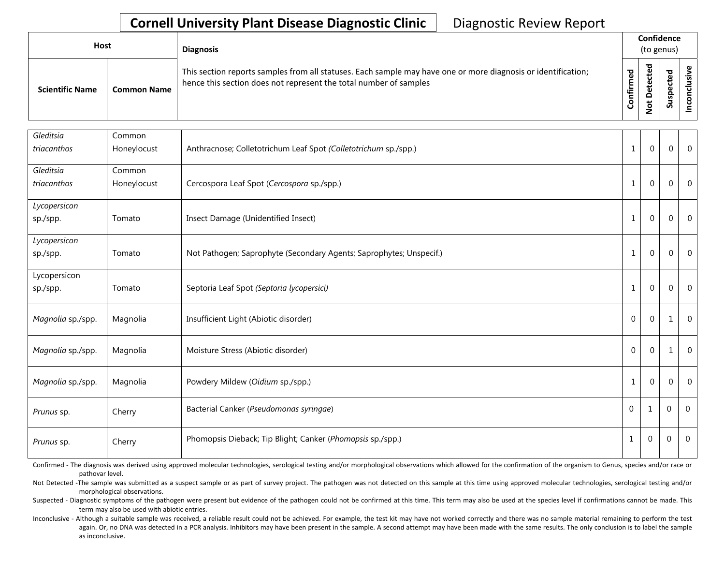## **Cornell University Plant Disease Diagnostic Clinic** | Diagnostic Review Report

| Host                   |                    | <b>Diagnosis</b>                                                                                                                                                                   |                                  | Confidence<br>(to genus)  |                            |  |
|------------------------|--------------------|------------------------------------------------------------------------------------------------------------------------------------------------------------------------------------|----------------------------------|---------------------------|----------------------------|--|
| <b>Scientific Name</b> | <b>Common Name</b> | This section reports samples from all statuses. Each sample may have one or more diagnosis or identification;<br>hence this section does not represent the total number of samples | $\mathbf{\sigma}$<br>ឌី<br>onfir | g<br>ں<br>ete<br><u>ខ</u> | ਠ<br>ن<br>௨<br>s<br>◡<br>S |  |

| Gleditsia         | Common      |                                                                     |              |              |                |                |
|-------------------|-------------|---------------------------------------------------------------------|--------------|--------------|----------------|----------------|
| triacanthos       | Honeylocust | Anthracnose; Colletotrichum Leaf Spot (Colletotrichum sp./spp.)     | $\mathbf{1}$ | $\mathbf{0}$ | $\mathbf{0}$   | $\overline{0}$ |
| Gleditsia         | Common      |                                                                     |              |              |                |                |
| triacanthos       | Honeylocust | Cercospora Leaf Spot (Cercospora sp./spp.)                          | $\mathbf{1}$ | $\Omega$     | $\mathbf 0$    | $\overline{0}$ |
| Lycopersicon      |             |                                                                     |              |              |                |                |
| sp./spp.          | Tomato      | Insect Damage (Unidentified Insect)                                 | $\mathbf{1}$ | $\Omega$     | $\mathbf 0$    | $\overline{0}$ |
| Lycopersicon      |             |                                                                     |              |              |                |                |
| sp./spp.          | Tomato      | Not Pathogen; Saprophyte (Secondary Agents; Saprophytes; Unspecif.) | $\mathbf{1}$ | $\Omega$     | $\mathbf{0}$   | $\overline{0}$ |
| Lycopersicon      |             |                                                                     |              |              |                |                |
| sp./spp.          | Tomato      | Septoria Leaf Spot (Septoria lycopersici)                           | $\mathbf 1$  | $\Omega$     | $\overline{0}$ | $\overline{0}$ |
| Magnolia sp./spp. | Magnolia    | Insufficient Light (Abiotic disorder)                               | $\mathbf 0$  | 0            | 1              | $\overline{0}$ |
| Magnolia sp./spp. | Magnolia    | Moisture Stress (Abiotic disorder)                                  | $\Omega$     | $\theta$     | 1              | $\overline{0}$ |
| Magnolia sp./spp. | Magnolia    | Powdery Mildew (Oidium sp./spp.)                                    | $\mathbf{1}$ | $\mathbf{0}$ | $\overline{0}$ | $\overline{0}$ |
| Prunus sp.        | Cherry      | Bacterial Canker (Pseudomonas syringae)                             | $\mathbf 0$  | $\mathbf{1}$ | $\mathbf{0}$   | $\Omega$       |
| Prunus sp.        | Cherry      | Phomopsis Dieback; Tip Blight; Canker (Phomopsis sp./spp.)          | $\mathbf{1}$ | $\Omega$     | $\mathbf 0$    | $\overline{0}$ |

Confirmed - The diagnosis was derived using approved molecular technologies, serological testing and/or morphological observations which allowed for the confirmation of the organism to Genus, species and/or race or pathovar level.

Not Detected -The sample was submitted as a suspect sample or as part of survey project. The pathogen was not detected on this sample at this time using approved molecular technologies, serological testing and/or morphological observations.

Suspected - Diagnostic symptoms of the pathogen were present but evidence of the pathogen could not be confirmed at this time. This term may also be used at the species level if confirmations cannot be made. This term may also be used with abiotic entries.

Inconclusive - Although a suitable sample was received, a reliable result could not be achieved. For example, the test kit may have not worked correctly and there was no sample material remaining to perform the test again. Or, no DNA was detected in a PCR analysis. Inhibitors may have been present in the sample. A second attempt may have been made with the same results. The only conclusion is to label the sample as inconclusive.